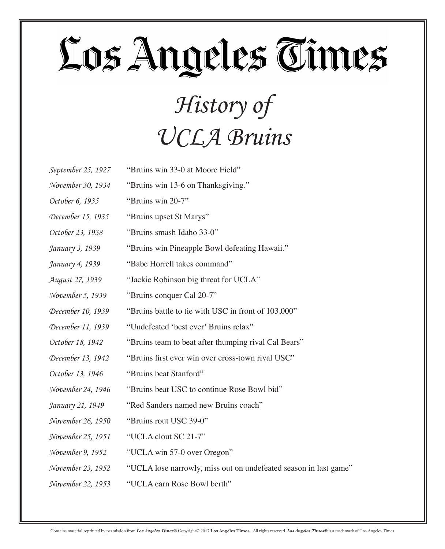#### *History of UCLA Bruins*

| September 25, 1927 | "Bruins win 33-0 at Moore Field" |
|--------------------|----------------------------------|
|--------------------|----------------------------------|

- *November 30, 1934* "Bruins win 13-6 on Thanksgiving."
- *October 6, 1935* "Bruins win 20-7"
- *December 15, 1935* "Bruins upset St Marys"
- *October 23, 1938* "Bruins smash Idaho 33-0"
- *January 3, 1939* "Bruins win Pineapple Bowl defeating Hawaii."
- *January 4, 1939* "Babe Horrell takes command"
- *August 27, 1939* "Jackie Robinson big threat for UCLA"
- *November 5, 1939* "Bruins conquer Cal 20-7"
- *December 10, 1939* "Bruins battle to tie with USC in front of 103,000"
- *December 11, 1939* "Undefeated 'best ever' Bruins relax"
- *October 18, 1942* "Bruins team to beat after thumping rival Cal Bears"
- *December 13, 1942* "Bruins first ever win over cross-town rival USC"
- *October 13, 1946* "Bruins beat Stanford"
- *November 24, 1946* "Bruins beat USC to continue Rose Bowl bid"
- *January 21, 1949* "Red Sanders named new Bruins coach"
- *November 26, 1950* "Bruins rout USC 39-0"
- *November 25, 1951* "UCLA clout SC 21-7"
- *November 9, 1952* "UCLA win 57-0 over Oregon"
- *November 23, 1952* "UCLA lose narrowly, miss out on undefeated season in last game"
- *November 22, 1953* "UCLA earn Rose Bowl berth"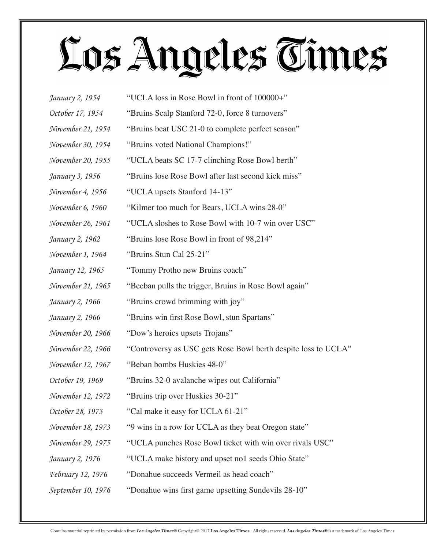| January 2, 1954          | "UCLA loss in Rose Bowl in front of 100000+"                   |
|--------------------------|----------------------------------------------------------------|
| October 17, 1954         | "Bruins Scalp Stanford 72-0, force 8 turnovers"                |
| November 21, 1954        | "Bruins beat USC 21-0 to complete perfect season"              |
| November 30, 1954        | "Bruins voted National Champions!"                             |
| November 20, 1955        | "UCLA beats SC 17-7 clinching Rose Bowl berth"                 |
| January 3, 1956          | "Bruins lose Rose Bowl after last second kick miss"            |
| November 4, 1956         | "UCLA upsets Stanford 14-13"                                   |
| November 6, 1960         | "Kilmer too much for Bears, UCLA wins 28-0"                    |
| November 26, 1961        | "UCLA sloshes to Rose Bowl with 10-7 win over USC"             |
| January 2, 1962          | "Bruins lose Rose Bowl in front of 98,214"                     |
| November 1, 1964         | "Bruins Stun Cal 25-21"                                        |
| January 12, 1965         | "Tommy Protho new Bruins coach"                                |
| November 21, 1965        | "Beeban pulls the trigger, Bruins in Rose Bowl again"          |
| January 2, 1966          | "Bruins crowd brimming with joy"                               |
| January 2, 1966          | "Bruins win first Rose Bowl, stun Spartans"                    |
| November 20, 1966        | "Dow's heroics upsets Trojans"                                 |
| November 22, 1966        | "Controversy as USC gets Rose Bowl berth despite loss to UCLA" |
| November 12, 1967        | "Beban bombs Huskies 48-0"                                     |
| October 19, 1969         | "Bruins 32-0 avalanche wipes out California"                   |
| November 12, 1972        | "Bruins trip over Huskies 30-21"                               |
| October 28, 1973         | "Cal make it easy for UCLA 61-21"                              |
| November 18, 1973        | "9 wins in a row for UCLA as they beat Oregon state"           |
| November 29, 1975        | "UCLA punches Rose Bowl ticket with win over rivals USC"       |
| January 2, 1976          | "UCLA make history and upset no1 seeds Ohio State"             |
| <i>February 12, 1976</i> | "Donahue succeeds Vermeil as head coach"                       |
| September 10, 1976       | "Donahue wins first game upsetting Sundevils 28-10"            |
|                          |                                                                |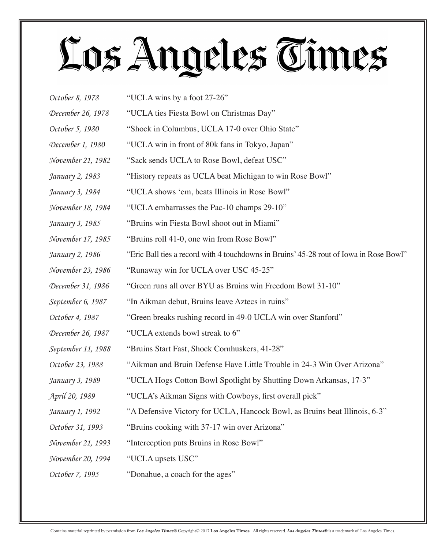| October 8, 1978    | "UCLA wins by a foot 27-26"                                                            |
|--------------------|----------------------------------------------------------------------------------------|
| December 26, 1978  | "UCLA ties Fiesta Bowl on Christmas Day"                                               |
| October 5, 1980    | "Shock in Columbus, UCLA 17-0 over Ohio State"                                         |
| December 1, 1980   | "UCLA win in front of 80k fans in Tokyo, Japan"                                        |
| November 21, 1982  | "Sack sends UCLA to Rose Bowl, defeat USC"                                             |
| January 2, 1983    | "History repeats as UCLA beat Michigan to win Rose Bowl"                               |
| January 3, 1984    | "UCLA shows 'em, beats Illinois in Rose Bowl"                                          |
| November 18, 1984  | "UCLA embarrasses the Pac-10 champs 29-10"                                             |
| January 3, 1985    | "Bruins win Fiesta Bowl shoot out in Miami"                                            |
| November 17, 1985  | "Bruins roll 41-0, one win from Rose Bowl"                                             |
| January 2, 1986    | "Eric Ball ties a record with 4 touchdowns in Bruins' 45-28 rout of Iowa in Rose Bowl" |
| November 23, 1986  | "Runaway win for UCLA over USC 45-25"                                                  |
| December 31, 1986  | "Green runs all over BYU as Bruins win Freedom Bowl 31-10"                             |
| September 6, 1987  | "In Aikman debut, Bruins leave Aztecs in ruins"                                        |
| October 4, 1987    | "Green breaks rushing record in 49-0 UCLA win over Stanford"                           |
| December 26, 1987  | "UCLA extends bowl streak to 6"                                                        |
| September 11, 1988 | "Bruins Start Fast, Shock Cornhuskers, 41-28"                                          |
| October 23, 1988   | "Aikman and Bruin Defense Have Little Trouble in 24-3 Win Over Arizona"                |
| January 3, 1989    | "UCLA Hogs Cotton Bowl Spotlight by Shutting Down Arkansas, 17-3"                      |
| April 20, 1989     | "UCLA's Aikman Signs with Cowboys, first overall pick"                                 |
| January 1, 1992    | "A Defensive Victory for UCLA, Hancock Bowl, as Bruins beat Illinois, 6-3"             |
| October 31, 1993   | "Bruins cooking with 37-17 win over Arizona"                                           |
| November 21, 1993  | "Interception puts Bruins in Rose Bowl"                                                |
| November 20, 1994  | "UCLA upsets USC"                                                                      |
| October 7, 1995    | "Donahue, a coach for the ages"                                                        |